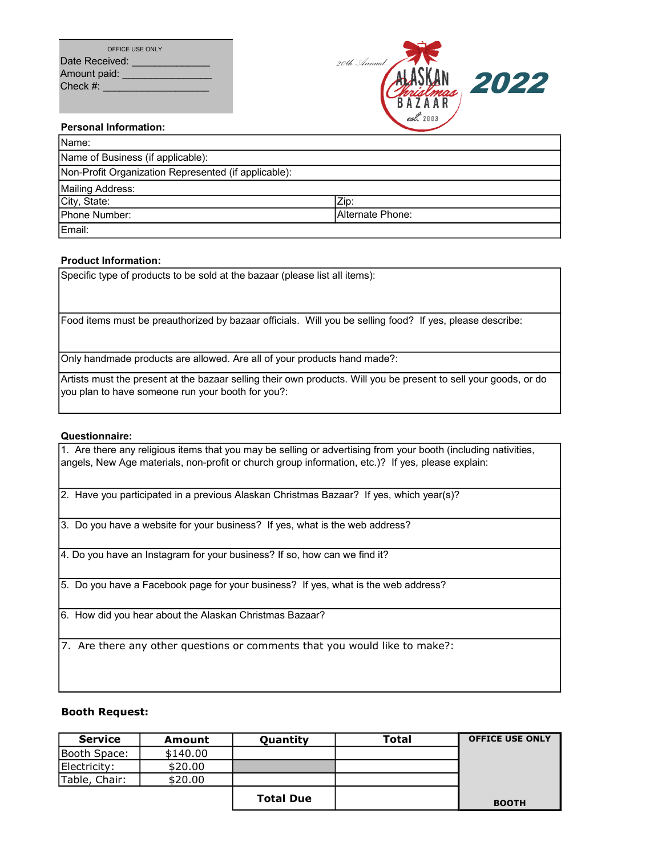| OFFICE USE ONLY |
|-----------------|
| Date Received:  |
| Amount paid:    |
| Check $#$ :     |



#### Personal Information:

| Name:                                                |                   |
|------------------------------------------------------|-------------------|
| Name of Business (if applicable):                    |                   |
| Non-Profit Organization Represented (if applicable): |                   |
| Mailing Address:                                     |                   |
| City, State:                                         | Zip:              |
| Phone Number:                                        | IAlternate Phone: |
| Email:                                               |                   |

#### Product Information:

Specific type of products to be sold at the bazaar (please list all items):

Food items must be preauthorized by bazaar officials. Will you be selling food? If yes, please describe:

Only handmade products are allowed. Are all of your products hand made?:

Artists must the present at the bazaar selling their own products. Will you be present to sell your goods, or do you plan to have someone run your booth for you?:

#### Questionnaire:

1. Are there any religious items that you may be selling or advertising from your booth (including nativities, angels, New Age materials, non-profit or church group information, etc.)? If yes, please explain:

2. Have you participated in a previous Alaskan Christmas Bazaar? If yes, which year(s)?

3. Do you have a website for your business? If yes, what is the web address?

4. Do you have an Instagram for your business? If so, how can we find it?

5. Do you have a Facebook page for your business? If yes, what is the web address?

6. How did you hear about the Alaskan Christmas Bazaar?

7. Are there any other questions or comments that you would like to make?:

# Booth Request:

| <b>Service</b> | Amount   | Quantity         | <b>Total</b> | <b>OFFICE USE ONLY</b> |
|----------------|----------|------------------|--------------|------------------------|
| Booth Space:   | \$140.00 |                  |              |                        |
| Electricity:   | \$20.00  |                  |              |                        |
| Table, Chair:  | \$20.00  |                  |              |                        |
|                |          | <b>Total Due</b> |              | <b>BOOTH</b>           |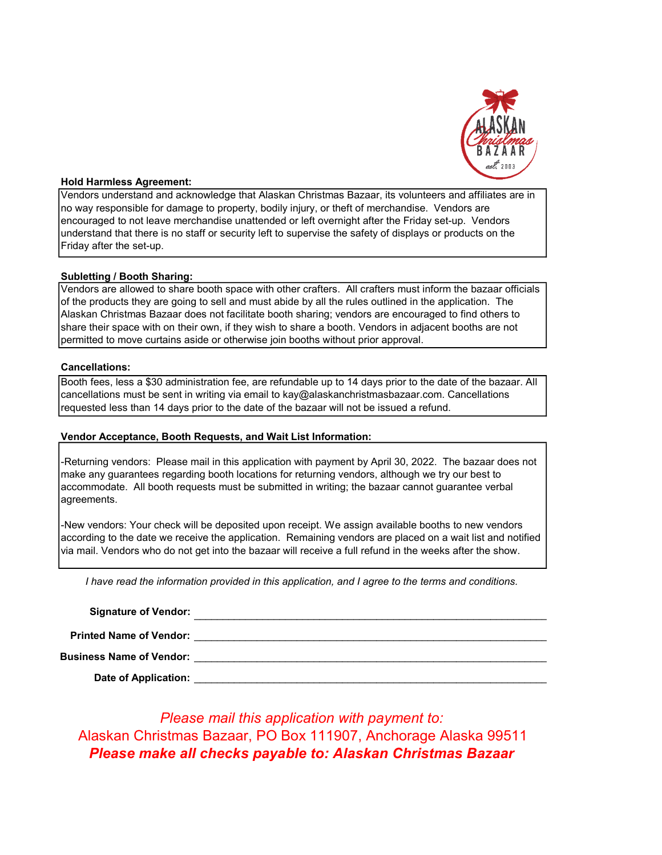

#### Hold Harmless Agreement:

Vendors understand and acknowledge that Alaskan Christmas Bazaar, its volunteers and affiliates are in no way responsible for damage to property, bodily injury, or theft of merchandise. Vendors are encouraged to not leave merchandise unattended or left overnight after the Friday set-up. Vendors understand that there is no staff or security left to supervise the safety of displays or products on the Friday after the set-up.

# Subletting / Booth Sharing:

Vendors are allowed to share booth space with other crafters. All crafters must inform the bazaar officials of the products they are going to sell and must abide by all the rules outlined in the application. The Alaskan Christmas Bazaar does not facilitate booth sharing; vendors are encouraged to find others to share their space with on their own, if they wish to share a booth. Vendors in adjacent booths are not permitted to move curtains aside or otherwise join booths without prior approval.

#### Cancellations:

Booth fees, less a \$30 administration fee, are refundable up to 14 days prior to the date of the bazaar. All cancellations must be sent in writing via email to kay@alaskanchristmasbazaar.com. Cancellations requested less than 14 days prior to the date of the bazaar will not be issued a refund.

# Vendor Acceptance, Booth Requests, and Wait List Information:

-Returning vendors: Please mail in this application with payment by April 30, 2022. The bazaar does not make any guarantees regarding booth locations for returning vendors, although we try our best to accommodate. All booth requests must be submitted in writing; the bazaar cannot guarantee verbal agreements.

-New vendors: Your check will be deposited upon receipt. We assign available booths to new vendors according to the date we receive the application. Remaining vendors are placed on a wait list and notified via mail. Vendors who do not get into the bazaar will receive a full refund in the weeks after the show.

I have read the information provided in this application, and I agree to the terms and conditions.

| <b>Signature of Vendor:</b>     |  |
|---------------------------------|--|
| <b>Printed Name of Vendor:</b>  |  |
| <b>Business Name of Vendor:</b> |  |

Date of Application:  $\_$  , and the set of the set of the set of the set of the set of the set of the set of the set of the set of the set of the set of the set of the set of the set of the set of the set of the set of the set of the set of th

Please make all checks payable to: Alaskan Christmas Bazaar Alaskan Christmas Bazaar, PO Box 111907, Anchorage Alaska 99511 Please mail this application with payment to: